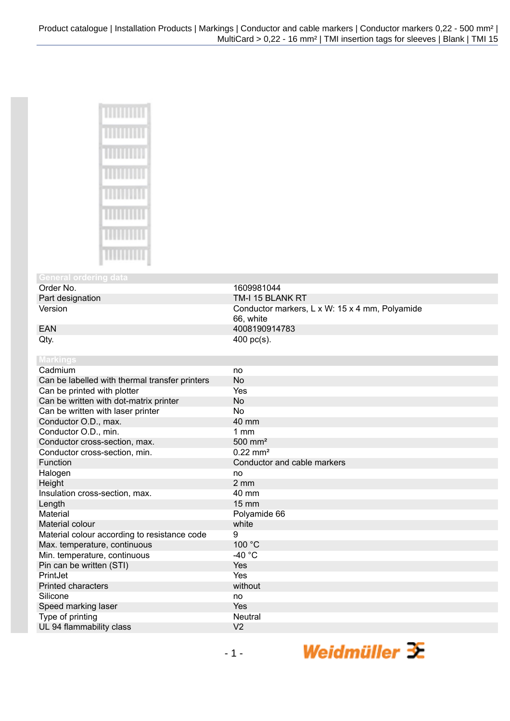| ľ<br>Ĩ |
|--------|
| I<br>ľ |
|        |
|        |
|        |
|        |

## **General ordering Order No.**

Order No. 1609981044<br>
Part designation 1990 1000 1000 11000 11000 11000 11000 11000 11000 11000 11000 11000 11000 11000 11000 1100<br>
TM-I 15 BLAI

Part designation TM-I 15 BLANK RT<br>Version Conductor markers, Conductor markers, L x W: 15 x 4 mm, Polyamide 66, white EAN 4008190914783  $Qty.$  400 pc(s).

| <b>Markings</b>                                |                             |
|------------------------------------------------|-----------------------------|
| Cadmium                                        | no                          |
| Can be labelled with thermal transfer printers | No                          |
| Can be printed with plotter                    | Yes                         |
| Can be written with dot-matrix printer         | <b>No</b>                   |
| Can be written with laser printer              | <b>No</b>                   |
| Conductor O.D., max.                           | 40 mm                       |
| Conductor O.D., min.                           | $1 \text{ mm}$              |
| Conductor cross-section, max.                  | $500$ mm <sup>2</sup>       |
| Conductor cross-section, min.                  | $0.22 \text{ mm}^2$         |
| Function                                       | Conductor and cable markers |
| Halogen                                        | no                          |
| Height                                         | $2 \text{ mm}$              |
| Insulation cross-section, max.                 | 40 mm                       |
| Length                                         | $15 \, \text{mm}$           |
| Material                                       | Polyamide 66                |
| Material colour                                | white                       |
| Material colour according to resistance code   | 9                           |
| Max. temperature, continuous                   | 100 °C                      |
| Min. temperature, continuous                   | -40 $^{\circ}$ C            |
| Pin can be written (STI)                       | Yes                         |
| PrintJet                                       | Yes                         |
| <b>Printed characters</b>                      | without                     |
| Silicone                                       | no                          |
| Speed marking laser                            | Yes                         |
| Type of printing                               | <b>Neutral</b>              |
| UL 94 flammability class                       | V <sub>2</sub>              |

Weidmüller  $\mathcal{\mathcal{F}}$